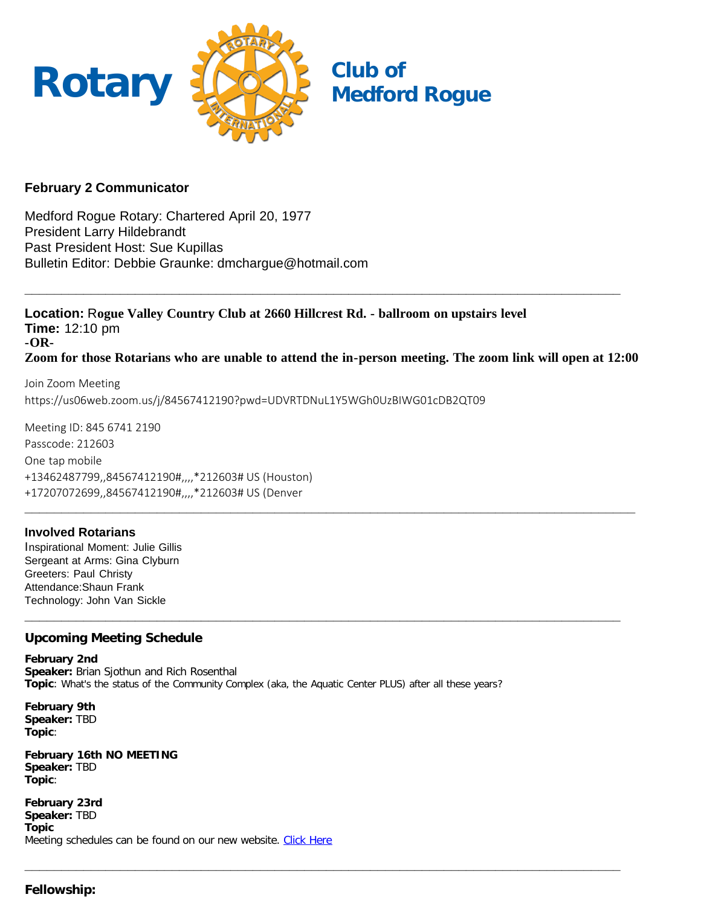

# **February 2 Communicator**

Medford Rogue Rotary: Chartered April 20, 1977 President Larry Hildebrandt Past President Host: Sue Kupillas Bulletin Editor: Debbie Graunke: dmchargue@hotmail.com

**Location:** R**ogue Valley Country Club at 2660 Hillcrest Rd. - ballroom on upstairs level Time:** 12:10 pm **-OR-Zoom for those Rotarians who are unable to attend the in-person meeting. The zoom link will open at 12:00**

**\_\_\_\_\_\_\_\_\_\_\_\_\_\_\_\_\_\_\_\_\_\_\_\_\_\_\_\_\_\_\_\_\_\_\_\_\_\_\_\_\_\_\_\_\_\_\_\_\_\_\_\_\_\_\_\_\_\_\_\_\_\_\_\_\_\_\_\_\_\_\_\_\_\_\_\_\_\_\_\_\_**

**\_\_\_\_\_\_\_\_\_\_\_\_\_\_\_\_\_\_\_\_\_\_\_\_\_\_\_\_\_\_\_\_\_\_\_\_\_\_\_\_\_\_\_\_\_\_\_\_\_\_\_\_\_\_\_\_\_\_\_\_\_\_\_\_\_\_\_\_\_\_\_\_\_\_\_\_\_\_\_\_\_**

**\_\_\_\_\_\_\_\_\_\_\_\_\_\_\_\_\_\_\_\_\_\_\_\_\_\_\_\_\_\_\_\_\_\_\_\_\_\_\_\_\_\_\_\_\_\_\_\_\_\_\_\_\_\_\_\_\_\_\_\_\_\_\_\_\_\_\_\_\_\_\_\_\_\_\_\_\_\_\_\_\_**

Join Zoom Meeting https://us06web.zoom.us/j/84567412190?pwd=UDVRTDNuL1Y5WGh0UzBIWG01cDB2QT09

Meeting ID: 845 6741 2190 Passcode: 212603 One tap mobile +13462487799,,84567412190#,,,,\*212603# US (Houston) +17207072699,,84567412190#,,,,\*212603# US (Denver **\_\_\_\_\_\_\_\_\_\_\_\_\_\_\_\_\_\_\_\_\_\_\_\_\_\_\_\_\_\_\_\_\_\_\_\_\_\_\_\_\_\_\_\_\_\_\_\_\_\_\_\_\_\_\_\_\_\_\_\_\_\_\_\_\_\_\_\_\_\_\_\_\_\_\_\_\_\_\_\_\_\_\_**

## **Involved Rotarians**

Inspirational Moment: Julie Gillis Sergeant at Arms: Gina Clyburn Greeters: Paul Christy Attendance:Shaun Frank Technology: John Van Sickle

## **Upcoming Meeting Schedule**

**February 2nd Speaker:** Brian Sjothun and Rich Rosenthal **Topic**: What's the status of the Community Complex (aka, the Aquatic Center PLUS) after all these years?

**February 9th Speaker:** TBD **Topic**:

**February 16th NO MEETING Speaker:** TBD **Topic**:

**February 23rd Speaker:** TBD **Topic** Meeting schedules can be found on our new website. [Click Here](https://medfordrogue.org/)

## **Fellowship:**